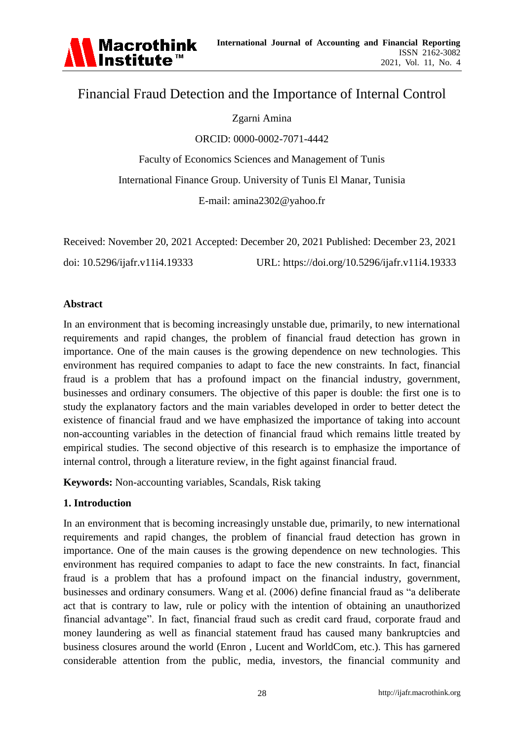

# Financial Fraud Detection and the Importance of Internal Control

### Zgarni Amina

ORCID: 0000-0002-7071-4442

Faculty of Economics Sciences and Management of Tunis International Finance Group. University of Tunis El Manar, Tunisia E-mail: amina2302@yahoo.fr

|                                | Received: November 20, 2021 Accepted: December 20, 2021 Published: December 23, 2021 |
|--------------------------------|--------------------------------------------------------------------------------------|
| doi: 10.5296/ijafr.v11i4.19333 | URL: https://doi.org/10.5296/ijafr.v11i4.19333                                       |

#### **Abstract**

In an environment that is becoming increasingly unstable due, primarily, to new international requirements and rapid changes, the problem of financial fraud detection has grown in importance. One of the main causes is the growing dependence on new technologies. This environment has required companies to adapt to face the new constraints. In fact, financial fraud is a problem that has a profound impact on the financial industry, government, businesses and ordinary consumers. The objective of this paper is double: the first one is to study the explanatory factors and the main variables developed in order to better detect the existence of financial fraud and we have emphasized the importance of taking into account non-accounting variables in the detection of financial fraud which remains little treated by empirical studies. The second objective of this research is to emphasize the importance of internal control, through a literature review, in the fight against financial fraud.

**Keywords:** Non-accounting variables, Scandals, Risk taking

### **1. Introduction**

In an environment that is becoming increasingly unstable due, primarily, to new international requirements and rapid changes, the problem of financial fraud detection has grown in importance. One of the main causes is the growing dependence on new technologies. This environment has required companies to adapt to face the new constraints. In fact, financial fraud is a problem that has a profound impact on the financial industry, government, businesses and ordinary consumers. Wang et al. (2006) define financial fraud as "a deliberate act that is contrary to law, rule or policy with the intention of obtaining an unauthorized financial advantage". In fact, financial fraud such as credit card fraud, corporate fraud and money laundering as well as financial statement fraud has caused many bankruptcies and business closures around the world (Enron , Lucent and WorldCom, etc.). This has garnered considerable attention from the public, media, investors, the financial community and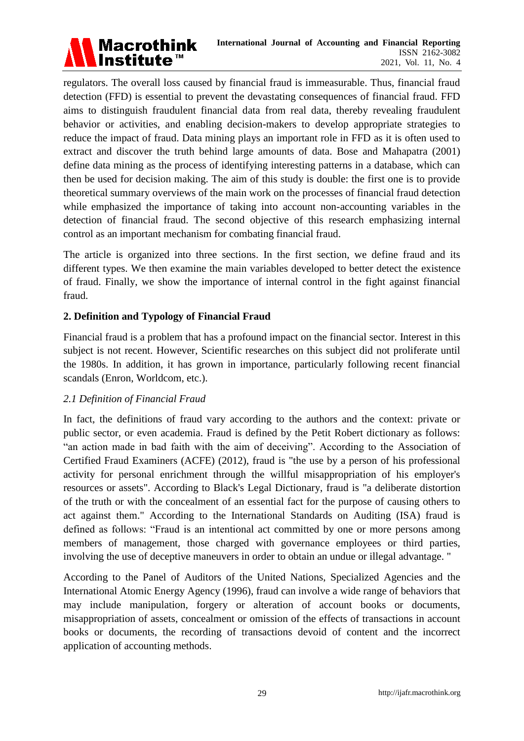

regulators. The overall loss caused by financial fraud is immeasurable. Thus, financial fraud detection (FFD) is essential to prevent the devastating consequences of financial fraud. FFD aims to distinguish fraudulent financial data from real data, thereby revealing fraudulent behavior or activities, and enabling decision-makers to develop appropriate strategies to reduce the impact of fraud. Data mining plays an important role in FFD as it is often used to extract and discover the truth behind large amounts of data. Bose and Mahapatra (2001) define data mining as the process of identifying interesting patterns in a database, which can then be used for decision making. The aim of this study is double: the first one is to provide theoretical summary overviews of the main work on the processes of financial fraud detection while emphasized the importance of taking into account non-accounting variables in the detection of financial fraud. The second objective of this research emphasizing internal control as an important mechanism for combating financial fraud.

The article is organized into three sections. In the first section, we define fraud and its different types. We then examine the main variables developed to better detect the existence of fraud. Finally, we show the importance of internal control in the fight against financial fraud.

### **2. Definition and Typology of Financial Fraud**

Financial fraud is a problem that has a profound impact on the financial sector. Interest in this subject is not recent. However, Scientific researches on this subject did not proliferate until the 1980s. In addition, it has grown in importance, particularly following recent financial scandals (Enron, Worldcom, etc.).

### *2.1 Definition of Financial Fraud*

In fact, the definitions of fraud vary according to the authors and the context: private or public sector, or even academia. Fraud is defined by the Petit Robert dictionary as follows: "an action made in bad faith with the aim of deceiving". According to the Association of Certified Fraud Examiners (ACFE) (2012), fraud is "the use by a person of his professional activity for personal enrichment through the willful misappropriation of his employer's resources or assets". According to Black's Legal Dictionary, fraud is "a deliberate distortion of the truth or with the concealment of an essential fact for the purpose of causing others to act against them." According to the International Standards on Auditing (ISA) fraud is defined as follows: "Fraud is an intentional act committed by one or more persons among members of management, those charged with governance employees or third parties, involving the use of deceptive maneuvers in order to obtain an undue or illegal advantage. "

According to the Panel of Auditors of the United Nations, Specialized Agencies and the International Atomic Energy Agency (1996), fraud can involve a wide range of behaviors that may include manipulation, forgery or alteration of account books or documents, misappropriation of assets, concealment or omission of the effects of transactions in account books or documents, the recording of transactions devoid of content and the incorrect application of accounting methods.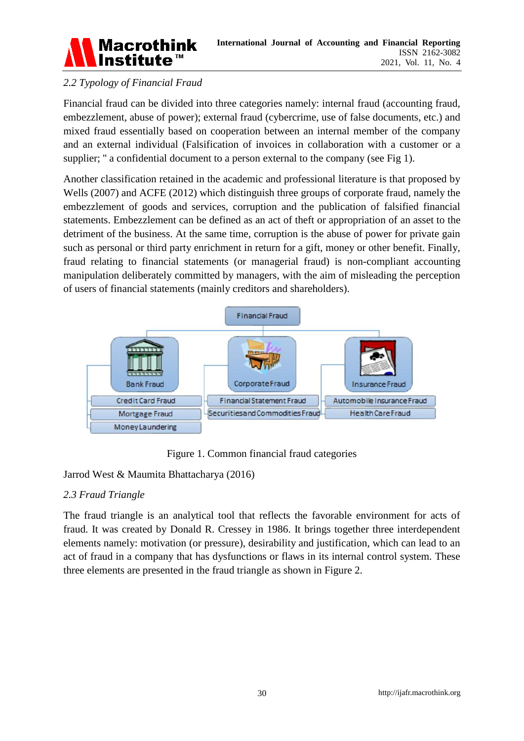

## *2.2 Typology of Financial Fraud*

Financial fraud can be divided into three categories namely: internal fraud (accounting fraud, embezzlement, abuse of power); external fraud (cybercrime, use of false documents, etc.) and mixed fraud essentially based on cooperation between an internal member of the company and an external individual (Falsification of invoices in collaboration with a customer or a supplier; " a confidential document to a person external to the company (see Fig 1).

Another classification retained in the academic and professional literature is that proposed by Wells (2007) and ACFE (2012) which distinguish three groups of corporate fraud, namely the embezzlement of goods and services, corruption and the publication of falsified financial statements. Embezzlement can be defined as an act of theft or appropriation of an asset to the detriment of the business. At the same time, corruption is the abuse of power for private gain such as personal or third party enrichment in return for a gift, money or other benefit. Finally, fraud relating to financial statements (or managerial fraud) is non-compliant accounting manipulation deliberately committed by managers, with the aim of misleading the perception of users of financial statements (mainly creditors and shareholders).



Figure 1. Common financial fraud categories

### Jarrod West & Maumita Bhattacharya (2016)

### *2.3 Fraud Triangle*

The fraud triangle is an analytical tool that reflects the favorable environment for acts of fraud. It was created by Donald R. Cressey in 1986. It brings together three interdependent elements namely: motivation (or pressure), desirability and justification, which can lead to an act of fraud in a company that has dysfunctions or flaws in its internal control system. These three elements are presented in the fraud triangle as shown in Figure 2.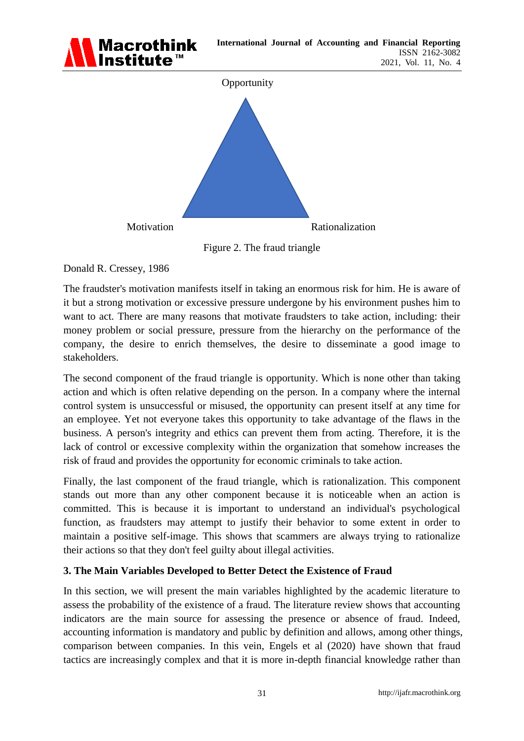

Figure 2. The fraud triangle

Donald R. Cressey, 1986

The fraudster's motivation manifests itself in taking an enormous risk for him. He is aware of it but a strong motivation or excessive pressure undergone by his environment pushes him to want to act. There are many reasons that motivate fraudsters to take action, including: their money problem or social pressure, pressure from the hierarchy on the performance of the company, the desire to enrich themselves, the desire to disseminate a good image to stakeholders.

The second component of the fraud triangle is opportunity. Which is none other than taking action and which is often relative depending on the person. In a company where the internal control system is unsuccessful or misused, the opportunity can present itself at any time for an employee. Yet not everyone takes this opportunity to take advantage of the flaws in the business. A person's integrity and ethics can prevent them from acting. Therefore, it is the lack of control or excessive complexity within the organization that somehow increases the risk of fraud and provides the opportunity for economic criminals to take action.

Finally, the last component of the fraud triangle, which is rationalization. This component stands out more than any other component because it is noticeable when an action is committed. This is because it is important to understand an individual's psychological function, as fraudsters may attempt to justify their behavior to some extent in order to maintain a positive self-image. This shows that scammers are always trying to rationalize their actions so that they don't feel guilty about illegal activities.

## **3. The Main Variables Developed to Better Detect the Existence of Fraud**

In this section, we will present the main variables highlighted by the academic literature to assess the probability of the existence of a fraud. The literature review shows that accounting indicators are the main source for assessing the presence or absence of fraud. Indeed, accounting information is mandatory and public by definition and allows, among other things, comparison between companies. In this vein, Engels et al (2020) have shown that fraud tactics are increasingly complex and that it is more in-depth financial knowledge rather than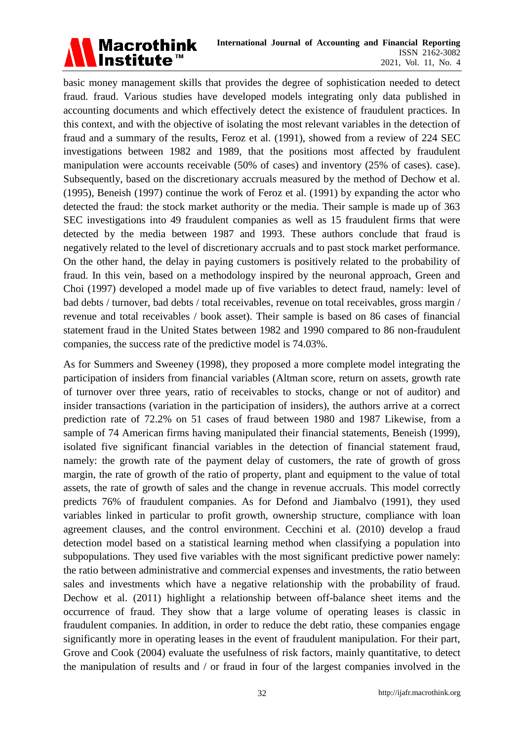

basic money management skills that provides the degree of sophistication needed to detect fraud. fraud. Various studies have developed models integrating only data published in accounting documents and which effectively detect the existence of fraudulent practices. In this context, and with the objective of isolating the most relevant variables in the detection of fraud and a summary of the results, Feroz et al. (1991), showed from a review of 224 SEC investigations between 1982 and 1989, that the positions most affected by fraudulent manipulation were accounts receivable (50% of cases) and inventory (25% of cases). case). Subsequently, based on the discretionary accruals measured by the method of Dechow et al. (1995), Beneish (1997) continue the work of Feroz et al. (1991) by expanding the actor who detected the fraud: the stock market authority or the media. Their sample is made up of 363 SEC investigations into 49 fraudulent companies as well as 15 fraudulent firms that were detected by the media between 1987 and 1993. These authors conclude that fraud is negatively related to the level of discretionary accruals and to past stock market performance. On the other hand, the delay in paying customers is positively related to the probability of fraud. In this vein, based on a methodology inspired by the neuronal approach, Green and Choi (1997) developed a model made up of five variables to detect fraud, namely: level of bad debts / turnover, bad debts / total receivables, revenue on total receivables, gross margin / revenue and total receivables / book asset). Their sample is based on 86 cases of financial statement fraud in the United States between 1982 and 1990 compared to 86 non-fraudulent companies, the success rate of the predictive model is 74.03%.

As for Summers and Sweeney (1998), they proposed a more complete model integrating the participation of insiders from financial variables (Altman score, return on assets, growth rate of turnover over three years, ratio of receivables to stocks, change or not of auditor) and insider transactions (variation in the participation of insiders), the authors arrive at a correct prediction rate of 72.2% on 51 cases of fraud between 1980 and 1987 Likewise, from a sample of 74 American firms having manipulated their financial statements, Beneish (1999), isolated five significant financial variables in the detection of financial statement fraud, namely: the growth rate of the payment delay of customers, the rate of growth of gross margin, the rate of growth of the ratio of property, plant and equipment to the value of total assets, the rate of growth of sales and the change in revenue accruals. This model correctly predicts 76% of fraudulent companies. As for Defond and Jiambalvo (1991), they used variables linked in particular to profit growth, ownership structure, compliance with loan agreement clauses, and the control environment. Cecchini et al. (2010) develop a fraud detection model based on a statistical learning method when classifying a population into subpopulations. They used five variables with the most significant predictive power namely: the ratio between administrative and commercial expenses and investments, the ratio between sales and investments which have a negative relationship with the probability of fraud. Dechow et al. (2011) highlight a relationship between off-balance sheet items and the occurrence of fraud. They show that a large volume of operating leases is classic in fraudulent companies. In addition, in order to reduce the debt ratio, these companies engage significantly more in operating leases in the event of fraudulent manipulation. For their part, Grove and Cook (2004) evaluate the usefulness of risk factors, mainly quantitative, to detect the manipulation of results and / or fraud in four of the largest companies involved in the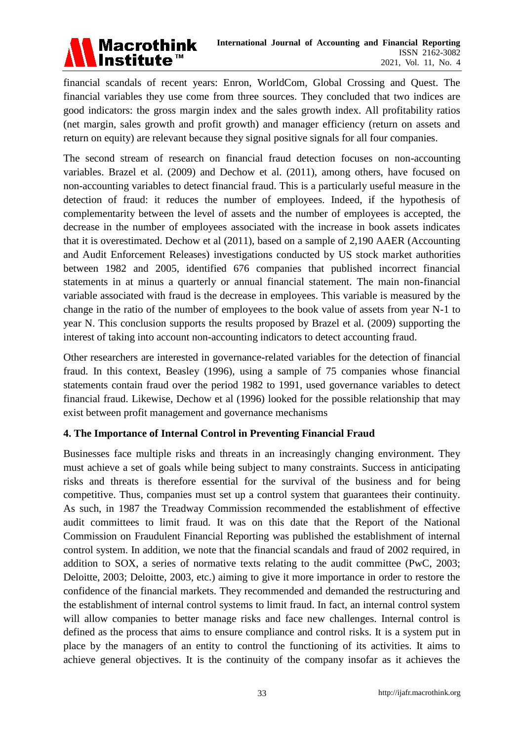

financial scandals of recent years: Enron, WorldCom, Global Crossing and Quest. The financial variables they use come from three sources. They concluded that two indices are good indicators: the gross margin index and the sales growth index. All profitability ratios (net margin, sales growth and profit growth) and manager efficiency (return on assets and return on equity) are relevant because they signal positive signals for all four companies.

The second stream of research on financial fraud detection focuses on non-accounting variables. Brazel et al. (2009) and Dechow et al. (2011), among others, have focused on non-accounting variables to detect financial fraud. This is a particularly useful measure in the detection of fraud: it reduces the number of employees. Indeed, if the hypothesis of complementarity between the level of assets and the number of employees is accepted, the decrease in the number of employees associated with the increase in book assets indicates that it is overestimated. Dechow et al (2011), based on a sample of 2,190 AAER (Accounting and Audit Enforcement Releases) investigations conducted by US stock market authorities between 1982 and 2005, identified 676 companies that published incorrect financial statements in at minus a quarterly or annual financial statement. The main non-financial variable associated with fraud is the decrease in employees. This variable is measured by the change in the ratio of the number of employees to the book value of assets from year N-1 to year N. This conclusion supports the results proposed by Brazel et al. (2009) supporting the interest of taking into account non-accounting indicators to detect accounting fraud.

Other researchers are interested in governance-related variables for the detection of financial fraud. In this context, Beasley (1996), using a sample of 75 companies whose financial statements contain fraud over the period 1982 to 1991, used governance variables to detect financial fraud. Likewise, Dechow et al (1996) looked for the possible relationship that may exist between profit management and governance mechanisms

### **4. The Importance of Internal Control in Preventing Financial Fraud**

Businesses face multiple risks and threats in an increasingly changing environment. They must achieve a set of goals while being subject to many constraints. Success in anticipating risks and threats is therefore essential for the survival of the business and for being competitive. Thus, companies must set up a control system that guarantees their continuity. As such, in 1987 the Treadway Commission recommended the establishment of effective audit committees to limit fraud. It was on this date that the Report of the National Commission on Fraudulent Financial Reporting was published the establishment of internal control system. In addition, we note that the financial scandals and fraud of 2002 required, in addition to SOX, a series of normative texts relating to the audit committee (PwC, 2003; Deloitte, 2003; Deloitte, 2003, etc.) aiming to give it more importance in order to restore the confidence of the financial markets. They recommended and demanded the restructuring and the establishment of internal control systems to limit fraud. In fact, an internal control system will allow companies to better manage risks and face new challenges. Internal control is defined as the process that aims to ensure compliance and control risks. It is a system put in place by the managers of an entity to control the functioning of its activities. It aims to achieve general objectives. It is the continuity of the company insofar as it achieves the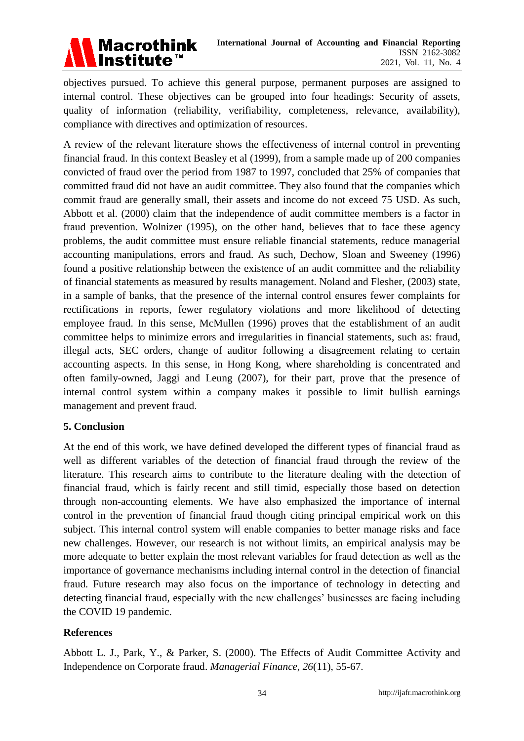

objectives pursued. To achieve this general purpose, permanent purposes are assigned to internal control. These objectives can be grouped into four headings: Security of assets, quality of information (reliability, verifiability, completeness, relevance, availability), compliance with directives and optimization of resources.

A review of the relevant literature shows the effectiveness of internal control in preventing financial fraud. In this context Beasley et al (1999), from a sample made up of 200 companies convicted of fraud over the period from 1987 to 1997, concluded that 25% of companies that committed fraud did not have an audit committee. They also found that the companies which commit fraud are generally small, their assets and income do not exceed 75 USD. As such, Abbott et al. (2000) claim that the independence of audit committee members is a factor in fraud prevention. Wolnizer (1995), on the other hand, believes that to face these agency problems, the audit committee must ensure reliable financial statements, reduce managerial accounting manipulations, errors and fraud. As such, Dechow, Sloan and Sweeney (1996) found a positive relationship between the existence of an audit committee and the reliability of financial statements as measured by results management. Noland and Flesher, (2003) state, in a sample of banks, that the presence of the internal control ensures fewer complaints for rectifications in reports, fewer regulatory violations and more likelihood of detecting employee fraud. In this sense, McMullen (1996) proves that the establishment of an audit committee helps to minimize errors and irregularities in financial statements, such as: fraud, illegal acts, SEC orders, change of auditor following a disagreement relating to certain accounting aspects. In this sense, in Hong Kong, where shareholding is concentrated and often family-owned, Jaggi and Leung (2007), for their part, prove that the presence of internal control system within a company makes it possible to limit bullish earnings management and prevent fraud.

### **5. Conclusion**

At the end of this work, we have defined developed the different types of financial fraud as well as different variables of the detection of financial fraud through the review of the literature. This research aims to contribute to the literature dealing with the detection of financial fraud, which is fairly recent and still timid, especially those based on detection through non-accounting elements. We have also emphasized the importance of internal control in the prevention of financial fraud though citing principal empirical work on this subject. This internal control system will enable companies to better manage risks and face new challenges. However, our research is not without limits, an empirical analysis may be more adequate to better explain the most relevant variables for fraud detection as well as the importance of governance mechanisms including internal control in the detection of financial fraud. Future research may also focus on the importance of technology in detecting and detecting financial fraud, especially with the new challenges' businesses are facing including the COVID 19 pandemic.

#### **References**

Abbott L. J., Park, Y., & Parker, S. (2000). The Effects of Audit Committee Activity and Independence on Corporate fraud. *Managerial Finance, 26*(11), 55-67.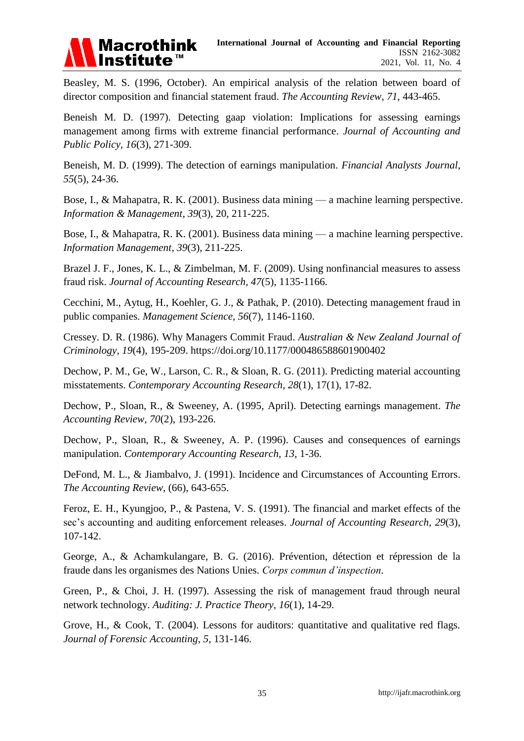

Beasley, M. S. (1996, October). An empirical analysis of the relation between board of director composition and financial statement fraud. *The Accounting Review, 71*, 443-465.

Beneish M. D. (1997). Detecting gaap violation: Implications for assessing earnings management among firms with extreme financial performance. *Journal of Accounting and Public Policy, 16*(3), 271-309.

Beneish, M. D. (1999). The detection of earnings manipulation. *Financial Analysts Journal, 55*(5), 24-36.

Bose, I., & Mahapatra, R. K. (2001). Business data mining — a machine learning perspective. *Information & Management, 39*(3), 20, 211-225.

Bose, I., & Mahapatra, R. K. (2001). Business data mining — a machine learning perspective. *Information Management, 39*(3), 211-225.

Brazel J. F., Jones, K. L., & Zimbelman, M. F. (2009). Using nonfinancial measures to assess fraud risk. *Journal of Accounting Research, 47*(5), 1135-1166.

Cecchini, M., Aytug, H., Koehler, G. J., & Pathak, P. (2010). Detecting management fraud in public companies. *Management Science, 56*(7), 1146-1160.

Cressey. D. R. (1986). Why Managers Commit Fraud. *Australian & New Zealand Journal of Criminology, 19*(4), 195-209. https://doi.org/10.1177/000486588601900402

Dechow, P. M., Ge, W., Larson, C. R., & Sloan, R. G. (2011). Predicting material accounting misstatements. *Contemporary Accounting Research*, 28(1), 17(1), 17-82.

Dechow, P., Sloan, R., & Sweeney, A. (1995, April). Detecting earnings management. *The Accounting Review, 70*(2), 193-226.

Dechow, P., Sloan, R., & Sweeney, A. P. (1996). Causes and consequences of earnings manipulation. *Contemporary Accounting Research, 13*, 1-36.

DeFond, M. L., & Jiambalvo, J. (1991). Incidence and Circumstances of Accounting Errors. *The Accounting Review*, (66), 643-655.

Feroz, E. H., Kyungjoo, P., & Pastena, V. S. (1991). The financial and market effects of the sec's accounting and auditing enforcement releases. *Journal of Accounting Research, 29*(3), 107-142.

George, A., & Achamkulangare, B. G. (2016). Prévention, détection et répression de la fraude dans les organismes des Nations Unies. *Corps commun d'inspection.*

Green, P., & Choi, J. H. (1997). Assessing the risk of management fraud through neural network technology. *Auditing: J. Practice Theory, 16*(1), 14-29.

Grove, H., & Cook, T. (2004). Lessons for auditors: quantitative and qualitative red flags. *Journal of Forensic Accounting, 5*, 131-146.